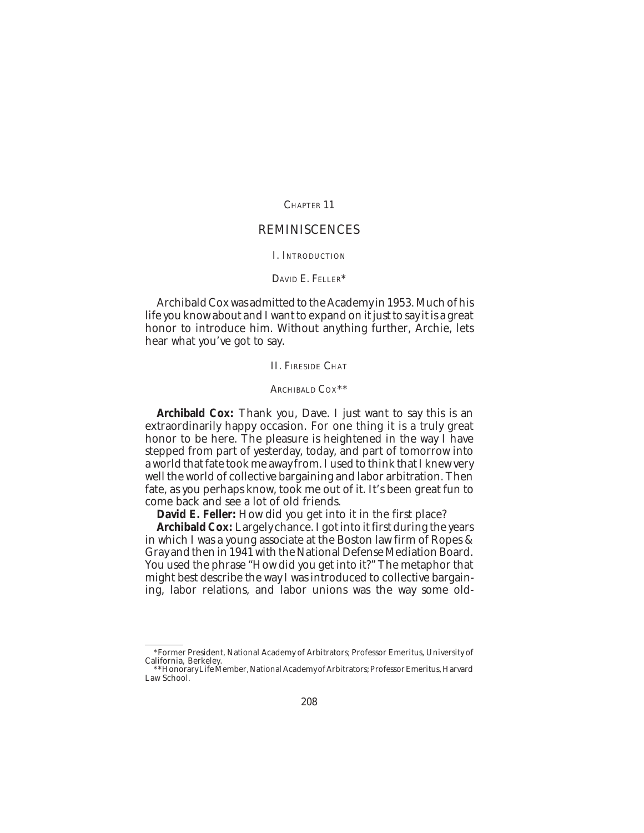CHAPTER 11

# REMINISCENCES

#### I. INTRODUCTION

# DAVID E. FELLER\*

Archibald Cox was admitted to the Academy in 1953. Much of his life you know about and I want to expand on it just to say it is a great honor to introduce him. Without anything further, Archie, lets hear what you've got to say.

II. FIRESIDE CHAT

### ARCHIBALD COX\*\*

**Archibald Cox:** Thank you, Dave. I just want to say this is an extraordinarily happy occasion. For one thing it is a truly great honor to be here. The pleasure is heightened in the way I have stepped from part of yesterday, today, and part of tomorrow into a world that fate took me away from. I used to think that I knew very well the world of collective bargaining and labor arbitration. Then fate, as you perhaps know, took me out of it. It's been great fun to come back and see a lot of old friends.

**David E. Feller:** How did you get into it in the first place?

**Archibald Cox:** Largely chance. I got into it first during the years in which I was a young associate at the Boston law firm of Ropes & Gray and then in 1941 with the National Defense Mediation Board. You used the phrase "How did you get into it?" The metaphor that might best describe the way I was introduced to collective bargaining, labor relations, and labor unions was the way some old-

<sup>\*</sup>Former President, National Academy of Arbitrators; Professor Emeritus, University of California, Berkeley.

<sup>\*\*</sup>Honorary Life Member, National Academy of Arbitrators; Professor Emeritus, Harvard Law School.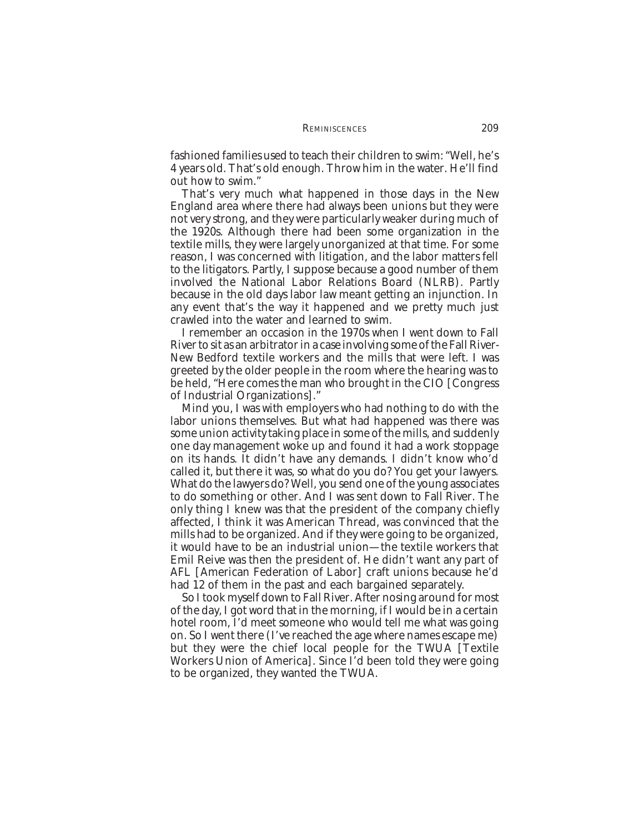fashioned families used to teach their children to swim: "Well, he's 4 years old. That's old enough. Throw him in the water. He'll find out how to swim."

That's very much what happened in those days in the New England area where there had always been unions but they were not very strong, and they were particularly weaker during much of the 1920s. Although there had been some organization in the textile mills, they were largely unorganized at that time. For some reason, I was concerned with litigation, and the labor matters fell to the litigators. Partly, I suppose because a good number of them involved the National Labor Relations Board (NLRB). Partly because in the old days labor law meant getting an injunction. In any event that's the way it happened and we pretty much just crawled into the water and learned to swim.

I remember an occasion in the 1970s when I went down to Fall River to sit as an arbitrator in a case involving some of the Fall River-New Bedford textile workers and the mills that were left. I was greeted by the older people in the room where the hearing was to be held, "Here comes the man who brought in the CIO [Congress of Industrial Organizations]."

Mind you, I was with employers who had nothing to do with the labor unions themselves. But what had happened was there was some union activity taking place in some of the mills, and suddenly one day management woke up and found it had a work stoppage on its hands. It didn't have any demands. I didn't know who'd called it, but there it was, so what do you do? You get your lawyers. What do the lawyers do? Well, you send one of the young associates to do something or other. And I was sent down to Fall River. The only thing I knew was that the president of the company chiefly affected, I think it was American Thread, was convinced that the mills had to be organized. And if they were going to be organized, it would have to be an industrial union—the textile workers that Emil Reive was then the president of. He didn't want any part of AFL [American Federation of Labor] craft unions because he'd had 12 of them in the past and each bargained separately.

So I took myself down to Fall River. After nosing around for most of the day, I got word that in the morning, if I would be in a certain hotel room, I'd meet someone who would tell me what was going on. So I went there (I've reached the age where names escape me) but they were the chief local people for the TWUA [Textile Workers Union of America]. Since I'd been told they were going to be organized, they wanted the TWUA.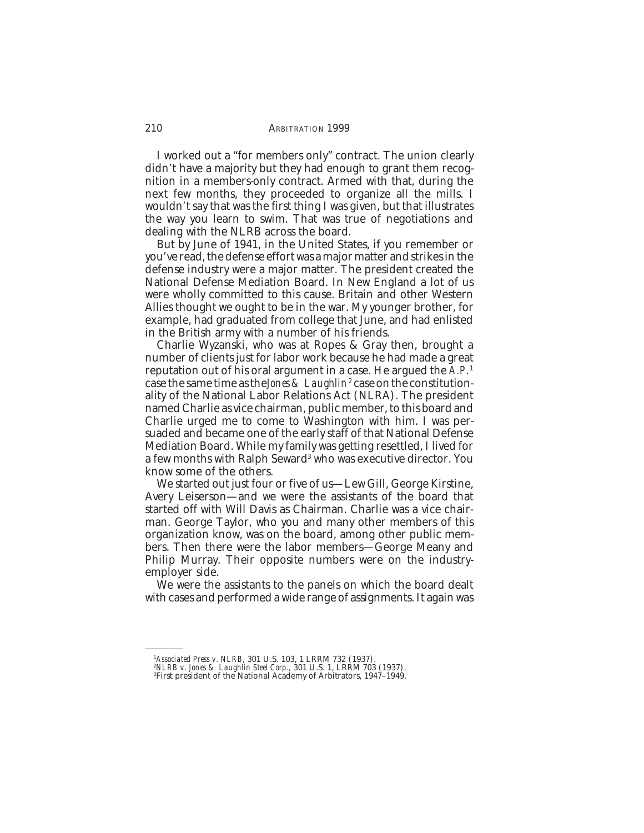I worked out a "for members only" contract. The union clearly didn't have a majority but they had enough to grant them recognition in a members-only contract. Armed with that, during the next few months, they proceeded to organize all the mills. I wouldn't say that was the first thing I was given, but that illustrates the way you learn to swim. That was true of negotiations and dealing with the NLRB across the board.

But by June of 1941, in the United States, if you remember or you've read, the defense effort was a major matter and strikes in the defense industry were a major matter. The president created the National Defense Mediation Board. In New England a lot of us were wholly committed to this cause. Britain and other Western Allies thought we ought to be in the war. My younger brother, for example, had graduated from college that June, and had enlisted in the British army with a number of his friends.

Charlie Wyzanski, who was at Ropes & Gray then, brought a number of clients just for labor work because he had made a great reputation out of his oral argument in a case. He argued the *A.P.*<sup>1</sup> case the same time as the*Jones & Laughlin<sup>2</sup>* case on the constitutionality of the National Labor Relations Act (NLRA). The president named Charlie as vice chairman, public member, to this board and Charlie urged me to come to Washington with him. I was persuaded and became one of the early staff of that National Defense Mediation Board. While my family was getting resettled, I lived for a few months with Ralph Seward<sup>3</sup> who was executive director. You know some of the others.

We started out just four or five of us—Lew Gill, George Kirstine, Avery Leiserson—and we were the assistants of the board that started off with Will Davis as Chairman. Charlie was a vice chairman. George Taylor, who you and many other members of this organization know, was on the board, among other public members. Then there were the labor members—George Meany and Philip Murray. Their opposite numbers were on the industryemployer side.

We were the assistants to the panels on which the board dealt with cases and performed a wide range of assignments. It again was

<sup>&</sup>lt;sup>1</sup>A*ssociated Press v. NLRB,* 301 U.S. 103, 1 LRRM 732 (1937).<br><sup>2</sup>*NLRB v. Jones & Laughlin Steel Corp.,* 301 U.S. 1, LRRM 703 (1937).<br><sup>3</sup>First president of the National Academy of Arbitrators, 1947–1949.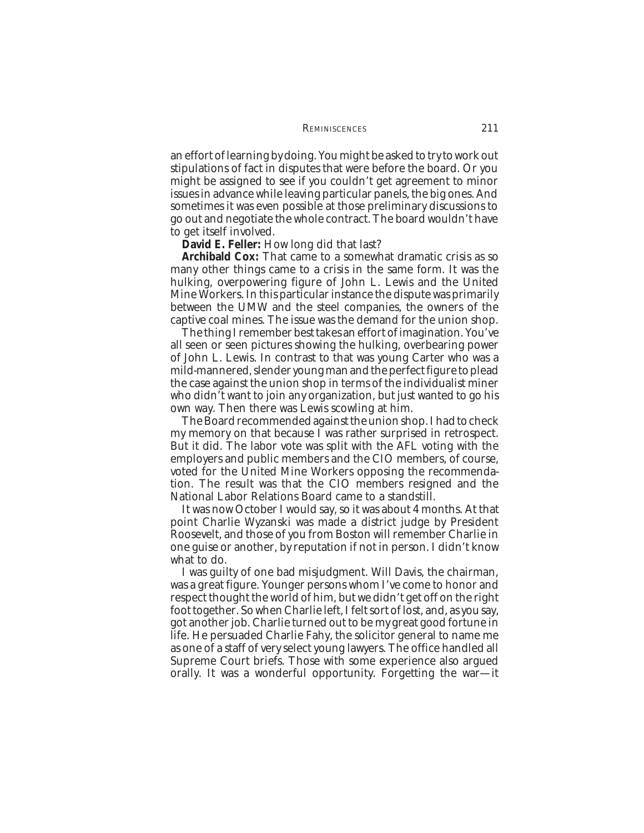an effort of learning by doing. You might be asked to try to work out stipulations of fact in disputes that were before the board. Or you might be assigned to see if you couldn't get agreement to minor issues in advance while leaving particular panels, the big ones. And sometimes it was even possible at those preliminary discussions to go out and negotiate the whole contract. The board wouldn't have to get itself involved.

#### **David E. Feller:** How long did that last?

**Archibald Cox:** That came to a somewhat dramatic crisis as so many other things came to a crisis in the same form. It was the hulking, overpowering figure of John L. Lewis and the United Mine Workers. In this particular instance the dispute was primarily between the UMW and the steel companies, the owners of the captive coal mines. The issue was the demand for the union shop.

The thing I remember best takes an effort of imagination. You've all seen or seen pictures showing the hulking, overbearing power of John L. Lewis. In contrast to that was young Carter who was a mild-mannered, slender young man and the perfect figure to plead the case against the union shop in terms of the individualist miner who didn't want to join any organization, but just wanted to go his own way. Then there was Lewis scowling at him.

The Board recommended against the union shop. I had to check my memory on that because I was rather surprised in retrospect. But it did. The labor vote was split with the AFL voting with the employers and public members and the CIO members, of course, voted for the United Mine Workers opposing the recommendation. The result was that the CIO members resigned and the National Labor Relations Board came to a standstill.

It was now October I would say, so it was about 4 months. At that point Charlie Wyzanski was made a district judge by President Roosevelt, and those of you from Boston will remember Charlie in one guise or another, by reputation if not in person. I didn't know what to do.

I was guilty of one bad misjudgment. Will Davis, the chairman, was a great figure. Younger persons whom I've come to honor and respect thought the world of him, but we didn't get off on the right foot together. So when Charlie left, I felt sort of lost, and, as you say, got another job. Charlie turned out to be my great good fortune in life. He persuaded Charlie Fahy, the solicitor general to name me as one of a staff of very select young lawyers. The office handled all Supreme Court briefs. Those with some experience also argued orally. It was a wonderful opportunity. Forgetting the war—it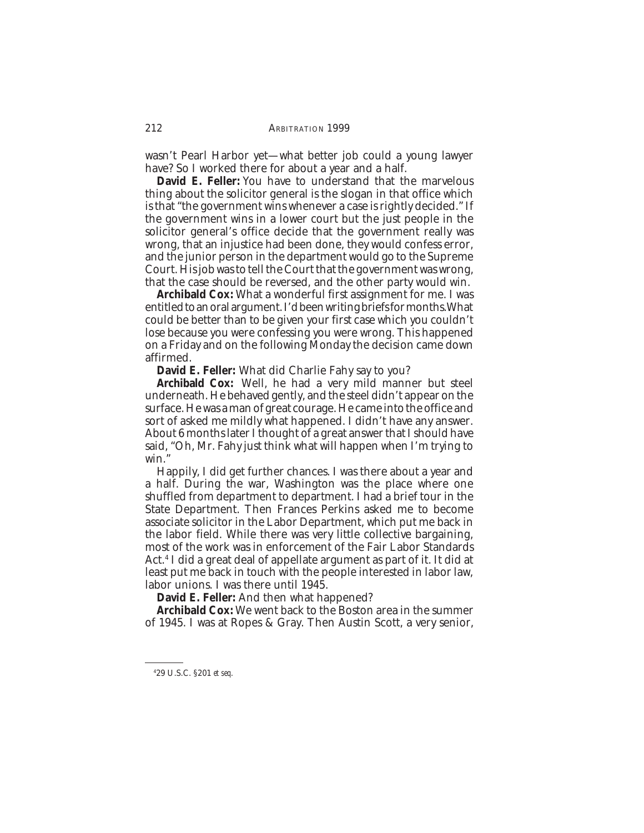wasn't Pearl Harbor yet—what better job could a young lawyer have? So I worked there for about a year and a half.

**David E. Feller:** You have to understand that the marvelous thing about the solicitor general is the slogan in that office which is that "the government wins whenever a case is rightly decided." If the government wins in a lower court but the just people in the solicitor general's office decide that the government really was wrong, that an injustice had been done, they would confess error, and the junior person in the department would go to the Supreme Court. His job was to tell the Court that the government was wrong, that the case should be reversed, and the other party would win.

**Archibald Cox:** What a wonderful first assignment for me. I was entitled to an oral argument. I'd been writing briefs for months.What could be better than to be given your first case which you couldn't lose because you were confessing you were wrong. This happened on a Friday and on the following Monday the decision came down affirmed.

**David E. Feller:** What did Charlie Fahy say to you?

**Archibald Cox:** Well, he had a very mild manner but steel underneath. He behaved gently, and the steel didn't appear on the surface. He was a man of great courage. He came into the office and sort of asked me mildly what happened. I didn't have any answer. About 6 months later I thought of a great answer that I should have said, "Oh, Mr. Fahy just think what will happen when I'm trying to win."

Happily, I did get further chances. I was there about a year and a half. During the war, Washington was the place where one shuffled from department to department. I had a brief tour in the State Department. Then Frances Perkins asked me to become associate solicitor in the Labor Department, which put me back in the labor field. While there was very little collective bargaining, most of the work was in enforcement of the Fair Labor Standards Act.4 I did a great deal of appellate argument as part of it. It did at least put me back in touch with the people interested in labor law, labor unions. I was there until 1945.

**David E. Feller:** And then what happened?

**Archibald Cox:** We went back to the Boston area in the summer of 1945. I was at Ropes & Gray. Then Austin Scott, a very senior,

<sup>4</sup> 29 U.S.C. §201 *et seq*.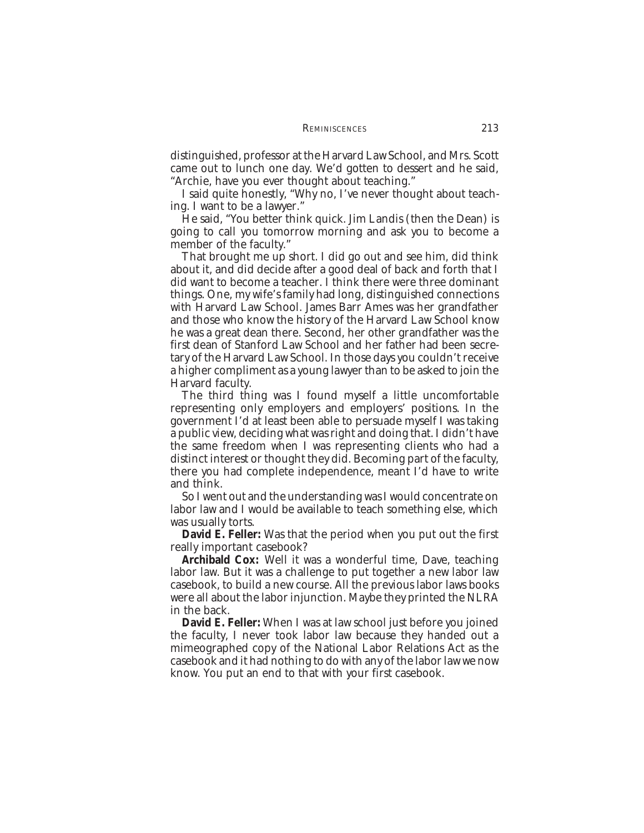distinguished, professor at the Harvard Law School, and Mrs. Scott came out to lunch one day. We'd gotten to dessert and he said, "Archie, have you ever thought about teaching."

I said quite honestly, "Why no, I've never thought about teaching. I want to be a lawyer."

He said, "You better think quick. Jim Landis (then the Dean) is going to call you tomorrow morning and ask you to become a member of the faculty."

That brought me up short. I did go out and see him, did think about it, and did decide after a good deal of back and forth that I did want to become a teacher. I think there were three dominant things. One, my wife's family had long, distinguished connections with Harvard Law School. James Barr Ames was her grandfather and those who know the history of the Harvard Law School know he was a great dean there. Second, her other grandfather was the first dean of Stanford Law School and her father had been secretary of the Harvard Law School. In those days you couldn't receive a higher compliment as a young lawyer than to be asked to join the Harvard faculty.

The third thing was I found myself a little uncomfortable representing only employers and employers' positions. In the government I'd at least been able to persuade myself I was taking a public view, deciding what was right and doing that. I didn't have the same freedom when I was representing clients who had a distinct interest or thought they did. Becoming part of the faculty, there you had complete independence, meant I'd have to write and think.

So I went out and the understanding was I would concentrate on labor law and I would be available to teach something else, which was usually torts.

**David E. Feller:** Was that the period when you put out the first really important casebook?

**Archibald Cox:** Well it was a wonderful time, Dave, teaching labor law. But it was a challenge to put together a new labor law casebook, to build a new course. All the previous labor laws books were all about the labor injunction. Maybe they printed the NLRA in the back.

**David E. Feller:** When I was at law school just before you joined the faculty, I never took labor law because they handed out a mimeographed copy of the National Labor Relations Act as the casebook and it had nothing to do with any of the labor law we now know. You put an end to that with your first casebook.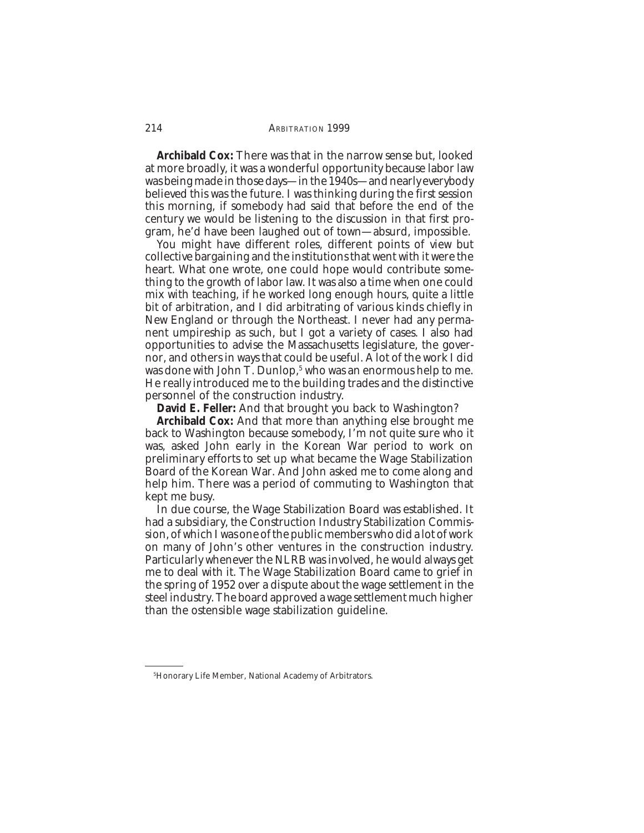**Archibald Cox:** There was that in the narrow sense but, looked at more broadly, it was a wonderful opportunity because labor law was being made in those days—in the 1940s—and nearly everybody believed this was the future. I was thinking during the first session this morning, if somebody had said that before the end of the century we would be listening to the discussion in that first program, he'd have been laughed out of town—absurd, impossible.

You might have different roles, different points of view but collective bargaining and the institutions that went with it were the heart. What one wrote, one could hope would contribute something to the growth of labor law. It was also a time when one could mix with teaching, if he worked long enough hours, quite a little bit of arbitration, and I did arbitrating of various kinds chiefly in New England or through the Northeast. I never had any permanent umpireship as such, but I got a variety of cases. I also had opportunities to advise the Massachusetts legislature, the governor, and others in ways that could be useful. A lot of the work I did was done with John T. Dunlop,<sup>5</sup> who was an enormous help to me. He really introduced me to the building trades and the distinctive personnel of the construction industry.

**David E. Feller:** And that brought you back to Washington?

**Archibald Cox:** And that more than anything else brought me back to Washington because somebody, I'm not quite sure who it was, asked John early in the Korean War period to work on preliminary efforts to set up what became the Wage Stabilization Board of the Korean War. And John asked me to come along and help him. There was a period of commuting to Washington that kept me busy.

In due course, the Wage Stabilization Board was established. It had a subsidiary, the Construction Industry Stabilization Commission, of which I was one of the public members who did a lot of work on many of John's other ventures in the construction industry. Particularly whenever the NLRB was involved, he would always get me to deal with it. The Wage Stabilization Board came to grief in the spring of 1952 over a dispute about the wage settlement in the steel industry. The board approved a wage settlement much higher than the ostensible wage stabilization guideline.

<sup>5</sup> Honorary Life Member, National Academy of Arbitrators.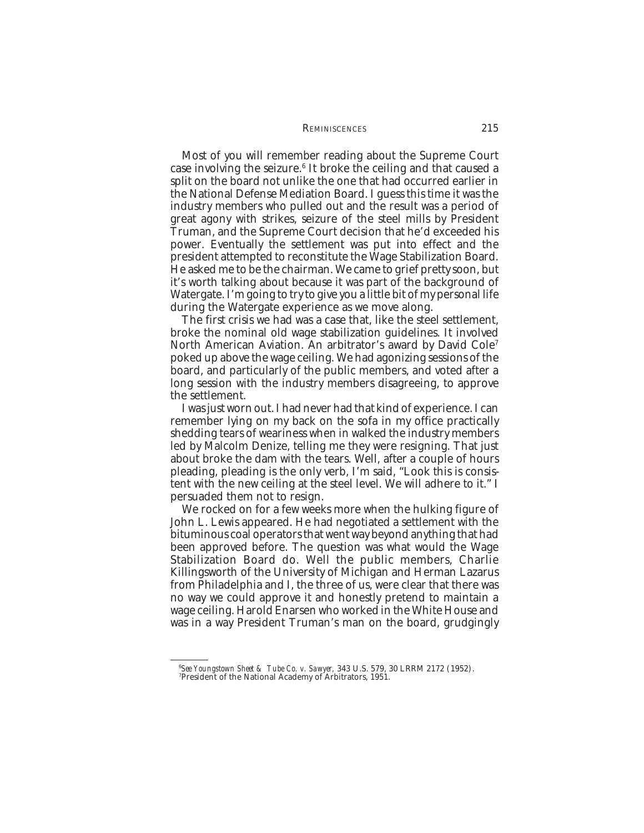#### REMINISCENCES 215

Most of you will remember reading about the Supreme Court case involving the seizure.6 It broke the ceiling and that caused a split on the board not unlike the one that had occurred earlier in the National Defense Mediation Board. I guess this time it was the industry members who pulled out and the result was a period of great agony with strikes, seizure of the steel mills by President Truman, and the Supreme Court decision that he'd exceeded his power. Eventually the settlement was put into effect and the president attempted to reconstitute the Wage Stabilization Board. He asked me to be the chairman. We came to grief pretty soon, but it's worth talking about because it was part of the background of Watergate. I'm going to try to give you a little bit of my personal life during the Watergate experience as we move along.

The first crisis we had was a case that, like the steel settlement, broke the nominal old wage stabilization guidelines. It involved North American Aviation. An arbitrator's award by David Cole7 poked up above the wage ceiling. We had agonizing sessions of the board, and particularly of the public members, and voted after a long session with the industry members disagreeing, to approve the settlement.

I was just worn out. I had never had that kind of experience. I can remember lying on my back on the sofa in my office practically shedding tears of weariness when in walked the industry members led by Malcolm Denize, telling me they were resigning. That just about broke the dam with the tears. Well, after a couple of hours pleading, pleading is the only verb, I'm said, "Look this is consistent with the new ceiling at the steel level. We will adhere to it." I persuaded them not to resign.

We rocked on for a few weeks more when the hulking figure of John L. Lewis appeared. He had negotiated a settlement with the bituminous coal operators that went way beyond anything that had been approved before. The question was what would the Wage Stabilization Board do. Well the public members, Charlie Killingsworth of the University of Michigan and Herman Lazarus from Philadelphia and I, the three of us, were clear that there was no way we could approve it and honestly pretend to maintain a wage ceiling. Harold Enarsen who worked in the White House and was in a way President Truman's man on the board, grudgingly

<sup>&</sup>lt;sup>6</sup>*See Youngstown Sheet & Tube Co. v. Sawyer*, 343 U.S. 579, 30 LRRM 2172 (1952).<br><sup>7</sup>President of the National Academy of Arbitrators, 1951 President of the National Academy of Arbitrators, 1951.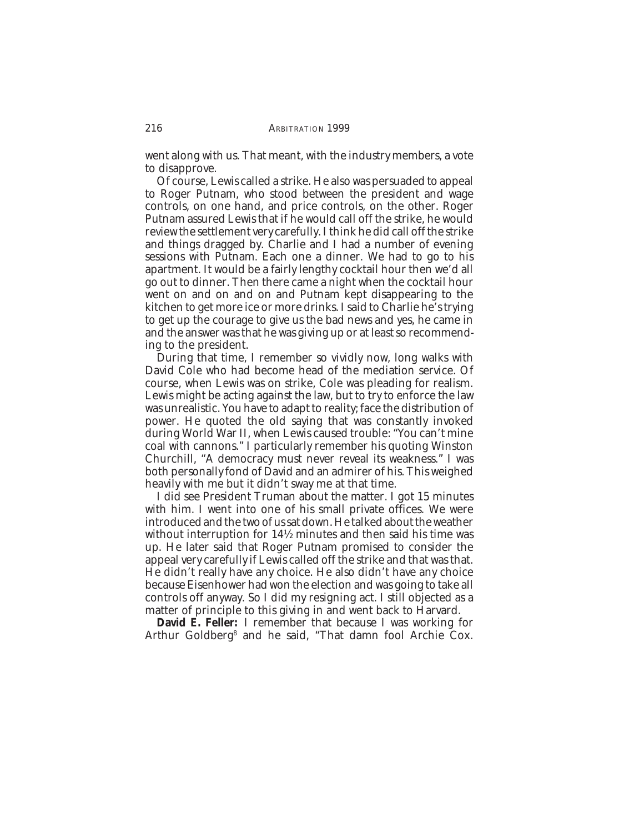went along with us. That meant, with the industry members, a vote to disapprove.

Of course, Lewis called a strike. He also was persuaded to appeal to Roger Putnam, who stood between the president and wage controls, on one hand, and price controls, on the other. Roger Putnam assured Lewis that if he would call off the strike, he would review the settlement very carefully. I think he did call off the strike and things dragged by. Charlie and I had a number of evening sessions with Putnam. Each one a dinner. We had to go to his apartment. It would be a fairly lengthy cocktail hour then we'd all go out to dinner. Then there came a night when the cocktail hour went on and on and on and Putnam kept disappearing to the kitchen to get more ice or more drinks. I said to Charlie he's trying to get up the courage to give us the bad news and yes, he came in and the answer was that he was giving up or at least so recommending to the president.

During that time, I remember so vividly now, long walks with David Cole who had become head of the mediation service. Of course, when Lewis was on strike, Cole was pleading for realism. Lewis might be acting against the law, but to try to enforce the law was unrealistic. You have to adapt to reality; face the distribution of power. He quoted the old saying that was constantly invoked during World War II, when Lewis caused trouble: "You can't mine coal with cannons." I particularly remember his quoting Winston Churchill, "A democracy must never reveal its weakness." I was both personally fond of David and an admirer of his. This weighed heavily with me but it didn't sway me at that time.

I did see President Truman about the matter. I got 15 minutes with him. I went into one of his small private offices. We were introduced and the two of us sat down. He talked about the weather without interruption for 14½ minutes and then said his time was up. He later said that Roger Putnam promised to consider the appeal very carefully if Lewis called off the strike and that was that. He didn't really have any choice. He also didn't have any choice because Eisenhower had won the election and was going to take all controls off anyway. So I did my resigning act. I still objected as a matter of principle to this giving in and went back to Harvard.

**David E. Feller:** I remember that because I was working for Arthur Goldberg8 and he said, "That damn fool Archie Cox.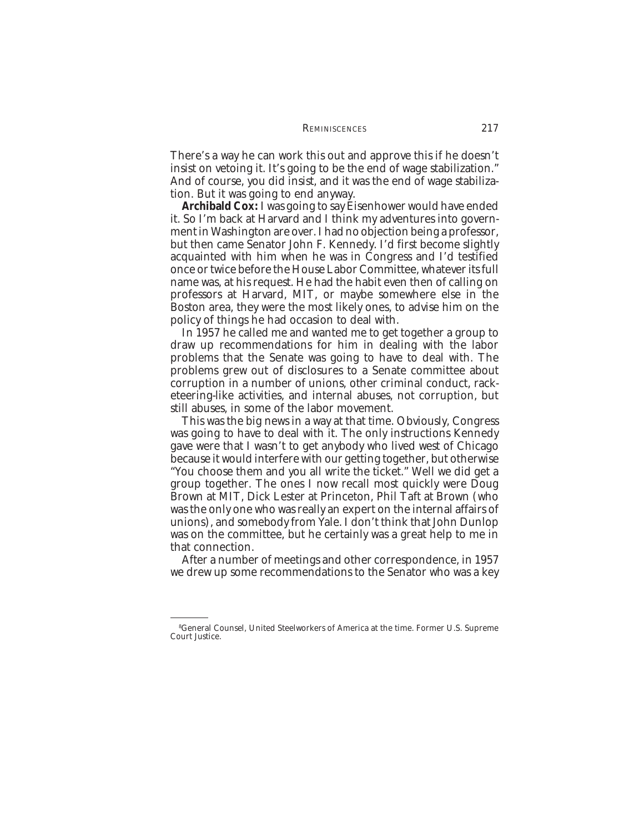There's a way he can work this out and approve this if he doesn't insist on vetoing it. It's going to be the end of wage stabilization." And of course, you did insist, and it was the end of wage stabilization. But it was going to end anyway.

**Archibald Cox:** I was going to say Eisenhower would have ended it. So I'm back at Harvard and I think my adventures into government in Washington are over. I had no objection being a professor, but then came Senator John F. Kennedy. I'd first become slightly acquainted with him when he was in Congress and I'd testified once or twice before the House Labor Committee, whatever its full name was, at his request. He had the habit even then of calling on professors at Harvard, MIT, or maybe somewhere else in the Boston area, they were the most likely ones, to advise him on the policy of things he had occasion to deal with.

In 1957 he called me and wanted me to get together a group to draw up recommendations for him in dealing with the labor problems that the Senate was going to have to deal with. The problems grew out of disclosures to a Senate committee about corruption in a number of unions, other criminal conduct, racketeering-like activities, and internal abuses, not corruption, but still abuses, in some of the labor movement.

This was the big news in a way at that time. Obviously, Congress was going to have to deal with it. The only instructions Kennedy gave were that I wasn't to get anybody who lived west of Chicago because it would interfere with our getting together, but otherwise "You choose them and you all write the ticket." Well we did get a group together. The ones I now recall most quickly were Doug Brown at MIT, Dick Lester at Princeton, Phil Taft at Brown (who was the only one who was really an expert on the internal affairs of unions), and somebody from Yale. I don't think that John Dunlop was on the committee, but he certainly was a great help to me in that connection.

After a number of meetings and other correspondence, in 1957 we drew up some recommendations to the Senator who was a key

<sup>8</sup> General Counsel, United Steelworkers of America at the time. Former U.S. Supreme Court Justice.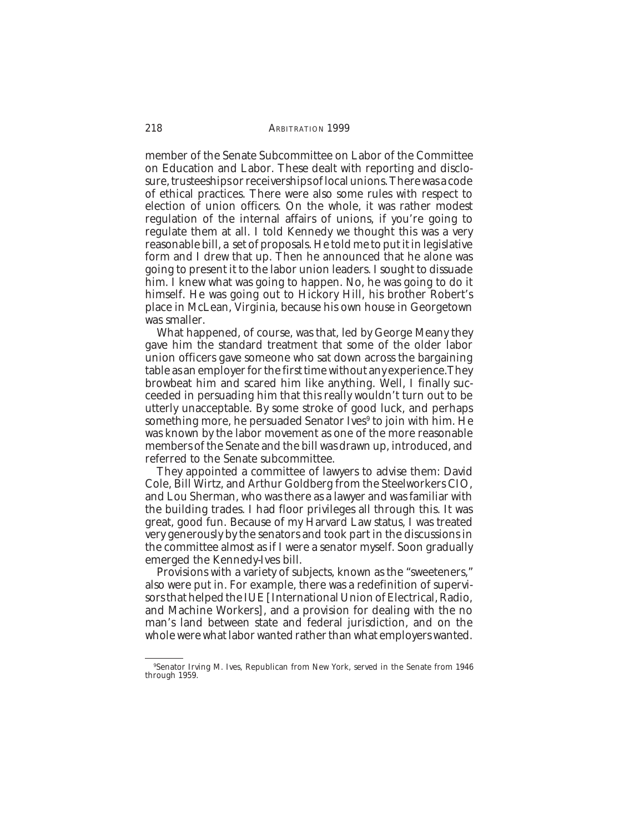member of the Senate Subcommittee on Labor of the Committee on Education and Labor. These dealt with reporting and disclosure, trusteeships or receiverships of local unions. There was a code of ethical practices. There were also some rules with respect to election of union officers. On the whole, it was rather modest regulation of the internal affairs of unions, if you're going to regulate them at all. I told Kennedy we thought this was a very reasonable bill, a set of proposals. He told me to put it in legislative form and I drew that up. Then he announced that he alone was going to present it to the labor union leaders. I sought to dissuade him. I knew what was going to happen. No, he was going to do it himself. He was going out to Hickory Hill, his brother Robert's place in McLean, Virginia, because his own house in Georgetown was smaller.

What happened, of course, was that, led by George Meany they gave him the standard treatment that some of the older labor union officers gave someone who sat down across the bargaining table as an employer for the first time without any experience.They browbeat him and scared him like anything. Well, I finally succeeded in persuading him that this really wouldn't turn out to be utterly unacceptable. By some stroke of good luck, and perhaps something more, he persuaded Senator Ives<sup>9</sup> to join with him. He was known by the labor movement as one of the more reasonable members of the Senate and the bill was drawn up, introduced, and referred to the Senate subcommittee.

They appointed a committee of lawyers to advise them: David Cole, Bill Wirtz, and Arthur Goldberg from the Steelworkers CIO, and Lou Sherman, who was there as a lawyer and was familiar with the building trades. I had floor privileges all through this. It was great, good fun. Because of my Harvard Law status, I was treated very generously by the senators and took part in the discussions in the committee almost as if I were a senator myself. Soon gradually emerged the Kennedy-Ives bill.

Provisions with a variety of subjects, known as the "sweeteners," also were put in. For example, there was a redefinition of supervisors that helped the IUE [International Union of Electrical, Radio, and Machine Workers], and a provision for dealing with the no man's land between state and federal jurisdiction, and on the whole were what labor wanted rather than what employers wanted.

<sup>9</sup> Senator Irving M. Ives, Republican from New York, served in the Senate from 1946 through 1959.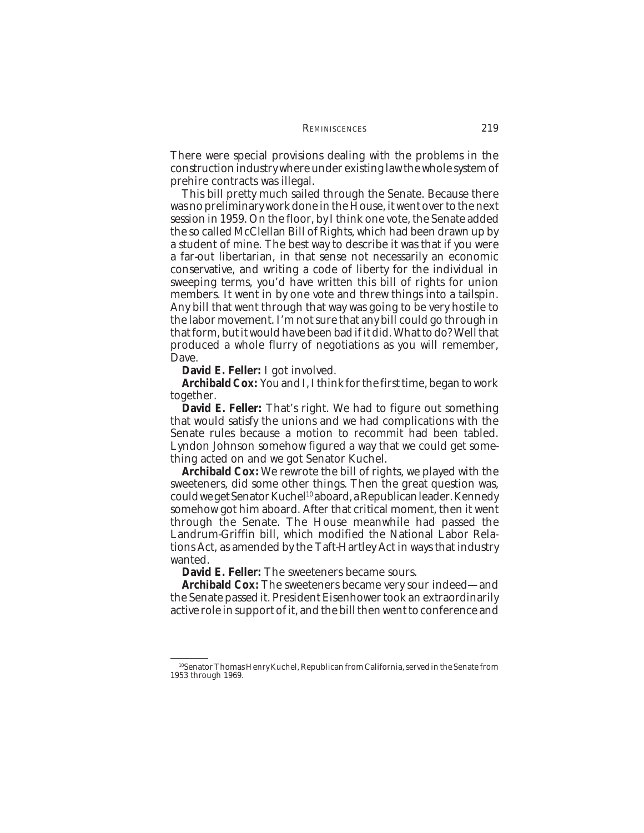There were special provisions dealing with the problems in the construction industry where under existing law the whole system of prehire contracts was illegal.

This bill pretty much sailed through the Senate. Because there was no preliminary work done in the House, it went over to the next session in 1959. On the floor, by I think one vote, the Senate added the so called McClellan Bill of Rights, which had been drawn up by a student of mine. The best way to describe it was that if you were a far-out libertarian, in that sense not necessarily an economic conservative, and writing a code of liberty for the individual in sweeping terms, you'd have written this bill of rights for union members. It went in by one vote and threw things into a tailspin. Any bill that went through that way was going to be very hostile to the labor movement. I'm not sure that any bill could go through in that form, but it would have been bad if it did. What to do? Well that produced a whole flurry of negotiations as you will remember, Dave.

**David E. Feller:** I got involved.

**Archibald Cox:** You and I, I think for the first time, began to work together.

**David E. Feller:** That's right. We had to figure out something that would satisfy the unions and we had complications with the Senate rules because a motion to recommit had been tabled. Lyndon Johnson somehow figured a way that we could get something acted on and we got Senator Kuchel.

**Archibald Cox:** We rewrote the bill of rights, we played with the sweeteners, did some other things. Then the great question was, could we get Senator Kuchel<sup>10</sup> aboard, a Republican leader. Kennedy somehow got him aboard. After that critical moment, then it went through the Senate. The House meanwhile had passed the Landrum-Griffin bill, which modified the National Labor Relations Act, as amended by the Taft-Hartley Act in ways that industry wanted.

**David E. Feller:** The sweeteners became sours.

**Archibald Cox:** The sweeteners became very sour indeed—and the Senate passed it. President Eisenhower took an extraordinarily active role in support of it, and the bill then went to conference and

<sup>10</sup>Senator Thomas Henry Kuchel, Republican from California, served in the Senate from 1953 through 1969.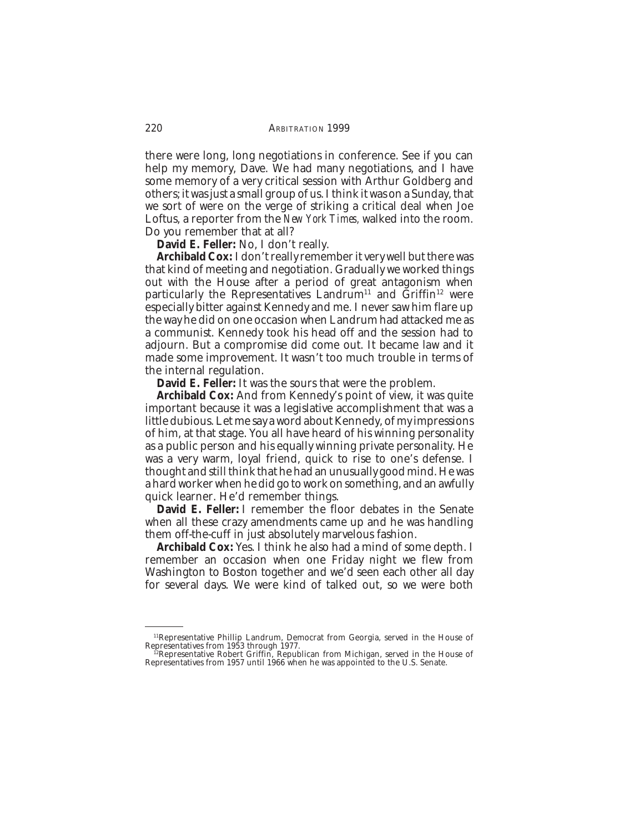there were long, long negotiations in conference. See if you can help my memory, Dave. We had many negotiations, and I have some memory of a very critical session with Arthur Goldberg and others; it was just a small group of us. I think it was on a Sunday, that we sort of were on the verge of striking a critical deal when Joe Loftus, a reporter from the *New York Times,* walked into the room. Do you remember that at all?

**David E. Feller:** No, I don't really.

**Archibald Cox:** I don't really remember it very well but there was that kind of meeting and negotiation. Gradually we worked things out with the House after a period of great antagonism when particularly the Representatives Landrum<sup>11</sup> and  $\tilde{G}$ riffin<sup>12</sup> were especially bitter against Kennedy and me. I never saw him flare up the way he did on one occasion when Landrum had attacked me as a communist. Kennedy took his head off and the session had to adjourn. But a compromise did come out. It became law and it made some improvement. It wasn't too much trouble in terms of the internal regulation.

**David E. Feller:** It was the sours that were the problem.

**Archibald Cox:** And from Kennedy's point of view, it was quite important because it was a legislative accomplishment that was a little dubious. Let me say a word about Kennedy, of my impressions of him, at that stage. You all have heard of his winning personality as a public person and his equally winning private personality. He was a very warm, loyal friend, quick to rise to one's defense. I thought and still think that he had an unusually good mind. He was a hard worker when he did go to work on something, and an awfully quick learner. He'd remember things.

**David E. Feller:** I remember the floor debates in the Senate when all these crazy amendments came up and he was handling them off-the-cuff in just absolutely marvelous fashion.

**Archibald Cox:** Yes. I think he also had a mind of some depth. I remember an occasion when one Friday night we flew from Washington to Boston together and we'd seen each other all day for several days. We were kind of talked out, so we were both

<sup>&</sup>lt;sup>11</sup>Representative Phillip Landrum, Democrat from Georgia, served in the House of Representatives from 1953 through 1977.<br><sup>12</sup>Representative Robert Griffin, Republican from Michigan, served in the House of

Representatives from 1957 until 1966 when he was appointed to the U.S. Senate.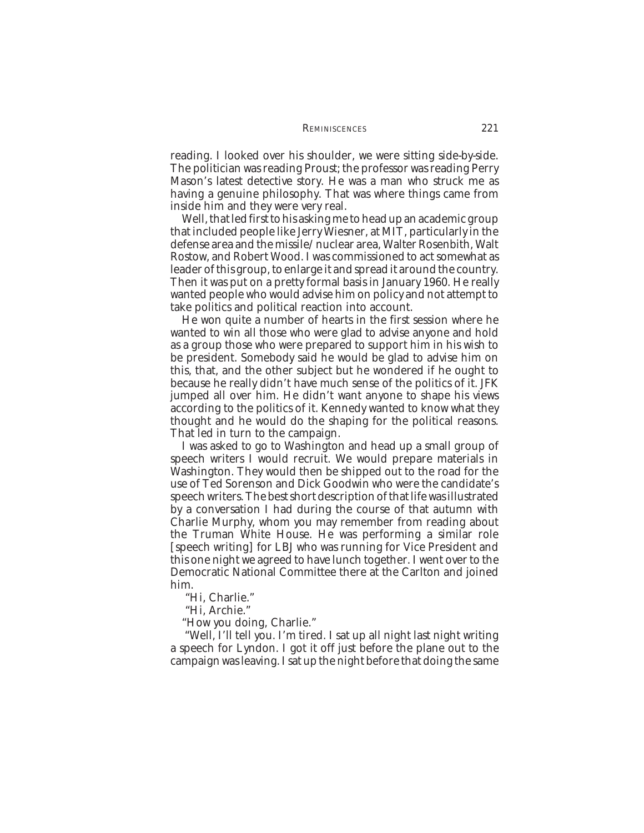reading. I looked over his shoulder, we were sitting side-by-side. The politician was reading Proust; the professor was reading Perry Mason's latest detective story. He was a man who struck me as having a genuine philosophy. That was where things came from inside him and they were very real.

Well, that led first to his asking me to head up an academic group that included people like Jerry Wiesner, at MIT, particularly in the defense area and the missile/nuclear area, Walter Rosenbith, Walt Rostow, and Robert Wood. I was commissioned to act somewhat as leader of this group, to enlarge it and spread it around the country. Then it was put on a pretty formal basis in January 1960. He really wanted people who would advise him on policy and not attempt to take politics and political reaction into account.

He won quite a number of hearts in the first session where he wanted to win all those who were glad to advise anyone and hold as a group those who were prepared to support him in his wish to be president. Somebody said he would be glad to advise him on this, that, and the other subject but he wondered if he ought to because he really didn't have much sense of the politics of it. JFK jumped all over him. He didn't want anyone to shape his views according to the politics of it. Kennedy wanted to know what they thought and he would do the shaping for the political reasons. That led in turn to the campaign.

I was asked to go to Washington and head up a small group of speech writers I would recruit. We would prepare materials in Washington. They would then be shipped out to the road for the use of Ted Sorenson and Dick Goodwin who were the candidate's speech writers. The best short description of that life was illustrated by a conversation I had during the course of that autumn with Charlie Murphy, whom you may remember from reading about the Truman White House. He was performing a similar role [speech writing] for LBJ who was running for Vice President and this one night we agreed to have lunch together. I went over to the Democratic National Committee there at the Carlton and joined him.

"Hi, Charlie."

"Hi, Archie."

"How you doing, Charlie."

 "Well, I'll tell you. I'm tired. I sat up all night last night writing a speech for Lyndon. I got it off just before the plane out to the campaign was leaving. I sat up the night before that doing the same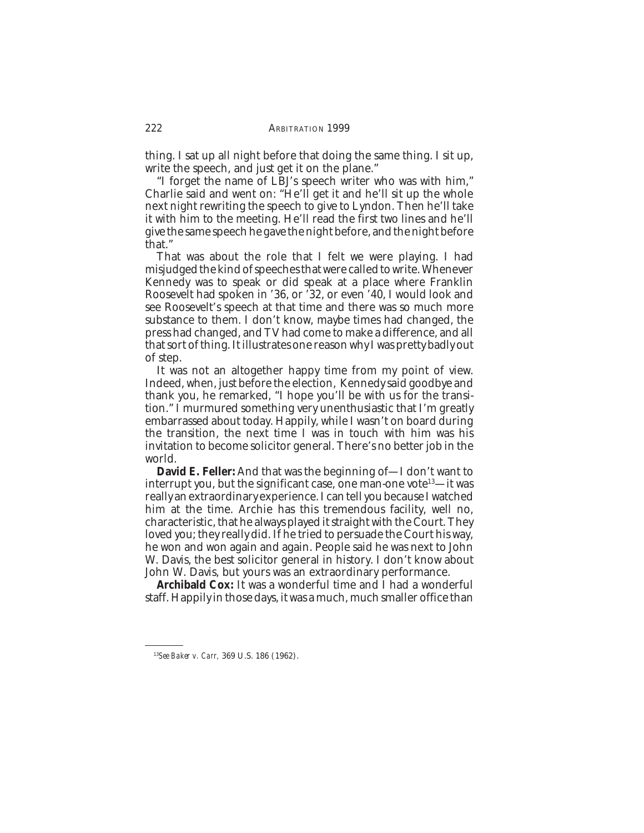thing. I sat up all night before that doing the same thing. I sit up, write the speech, and just get it on the plane."

"I forget the name of LBJ's speech writer who was with him," Charlie said and went on: "He'll get it and he'll sit up the whole next night rewriting the speech to give to Lyndon. Then he'll take it with him to the meeting. He'll read the first two lines and he'll give the same speech he gave the night before, and the night before that."

That was about the role that I felt we were playing. I had misjudged the kind of speeches that were called to write. Whenever Kennedy was to speak or did speak at a place where Franklin Roosevelt had spoken in '36, or '32, or even '40, I would look and see Roosevelt's speech at that time and there was so much more substance to them. I don't know, maybe times had changed, the press had changed, and TV had come to make a difference, and all that sort of thing. It illustrates one reason why I was pretty badly out of step.

It was not an altogether happy time from my point of view. Indeed, when, just before the election, Kennedy said goodbye and thank you, he remarked, "I hope you'll be with us for the transition." I murmured something very unenthusiastic that I'm greatly embarrassed about today. Happily, while I wasn't on board during the transition, the next time I was in touch with him was his invitation to become solicitor general. There's no better job in the world.

**David E. Feller:** And that was the beginning of—I don't want to interrupt you, but the significant case, one man-one vote<sup>13</sup>—it was really an extraordinary experience. I can tell you because I watched him at the time. Archie has this tremendous facility, well no, characteristic, that he always played it straight with the Court. They loved you; they really did. If he tried to persuade the Court his way, he won and won again and again. People said he was next to John W. Davis, the best solicitor general in history. I don't know about John W. Davis, but yours was an extraordinary performance.

**Archibald Cox:** It was a wonderful time and I had a wonderful staff. Happily in those days, it was a much, much smaller office than

<sup>13</sup>*See Baker v. Carr,* 369 U.S. 186 (1962).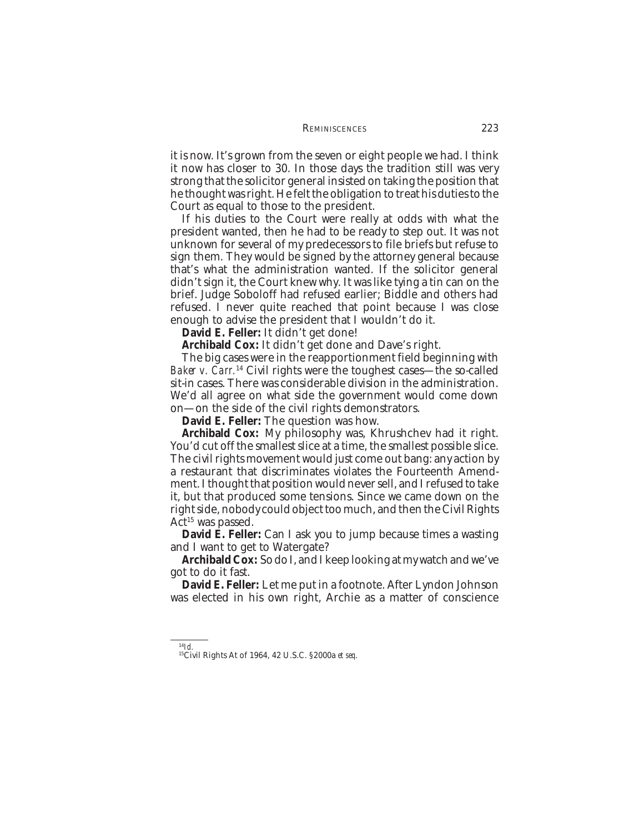it is now. It's grown from the seven or eight people we had. I think it now has closer to 30. In those days the tradition still was very strong that the solicitor general insisted on taking the position that he thought was right. He felt the obligation to treat his duties to the Court as equal to those to the president.

If his duties to the Court were really at odds with what the president wanted, then he had to be ready to step out. It was not unknown for several of my predecessors to file briefs but refuse to sign them. They would be signed by the attorney general because that's what the administration wanted. If the solicitor general didn't sign it, the Court knew why. It was like tying a tin can on the brief. Judge Soboloff had refused earlier; Biddle and others had refused. I never quite reached that point because I was close enough to advise the president that I wouldn't do it.

**David E. Feller:** It didn't get done!

**Archibald Cox:** It didn't get done and Dave's right.

The big cases were in the reapportionment field beginning with *Baker v. Carr.*14 Civil rights were the toughest cases—the so-called sit-in cases. There was considerable division in the administration. We'd all agree on what side the government would come down on—on the side of the civil rights demonstrators.

**David E. Feller:** The question was how.

**Archibald Cox:** My philosophy was, Khrushchev had it right. You'd cut off the smallest slice at a time, the smallest possible slice. The civil rights movement would just come out bang: any action by a restaurant that discriminates violates the Fourteenth Amendment. I thought that position would never sell, and I refused to take it, but that produced some tensions. Since we came down on the right side, nobody could object too much, and then the Civil Rights  $Act<sup>15</sup>$  was passed.

**David E. Feller:** Can I ask you to jump because times a wasting and I want to get to Watergate?

**Archibald Cox:** So do I, and I keep looking at my watch and we've got to do it fast.

**David E. Feller:** Let me put in a footnote. After Lyndon Johnson was elected in his own right, Archie as a matter of conscience

<sup>14</sup>*Id.* 15Civil Rights At of 1964, 42 U.S.C. §2000a *et seq*.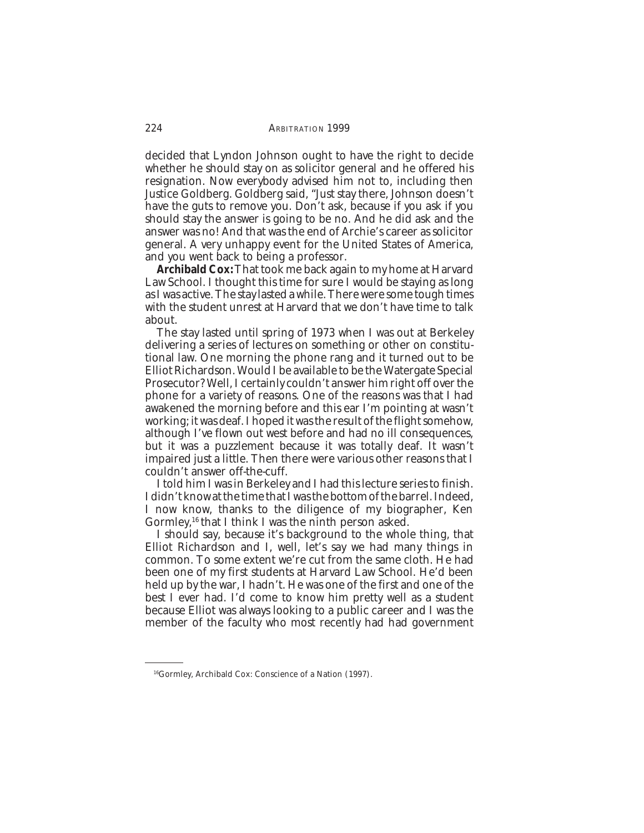decided that Lyndon Johnson ought to have the right to decide whether he should stay on as solicitor general and he offered his resignation. Now everybody advised him not to, including then Justice Goldberg. Goldberg said, "Just stay there, Johnson doesn't have the guts to remove you. Don't ask, because if you ask if you should stay the answer is going to be no. And he did ask and the answer was no! And that was the end of Archie's career as solicitor general. A very unhappy event for the United States of America, and you went back to being a professor.

**Archibald Cox:** That took me back again to my home at Harvard Law School. I thought this time for sure I would be staying as long as I was active. The stay lasted a while. There were some tough times with the student unrest at Harvard that we don't have time to talk about.

The stay lasted until spring of 1973 when I was out at Berkeley delivering a series of lectures on something or other on constitutional law. One morning the phone rang and it turned out to be Elliot Richardson. Would I be available to be the Watergate Special Prosecutor? Well, I certainly couldn't answer him right off over the phone for a variety of reasons. One of the reasons was that I had awakened the morning before and this ear I'm pointing at wasn't working; it was deaf. I hoped it was the result of the flight somehow, although I've flown out west before and had no ill consequences, but it was a puzzlement because it was totally deaf. It wasn't impaired just a little. Then there were various other reasons that I couldn't answer off-the-cuff.

I told him I was in Berkeley and I had this lecture series to finish. I didn't know at the time that I was the bottom of the barrel. Indeed, I now know, thanks to the diligence of my biographer, Ken Gormley,<sup>16</sup> that I think I was the ninth person asked.

I should say, because it's background to the whole thing, that Elliot Richardson and I, well, let's say we had many things in common. To some extent we're cut from the same cloth. He had been one of my first students at Harvard Law School. He'd been held up by the war, I hadn't. He was one of the first and one of the best I ever had. I'd come to know him pretty well as a student because Elliot was always looking to a public career and I was the member of the faculty who most recently had had government

<sup>16</sup>Gormley, Archibald Cox: Conscience of a Nation (1997).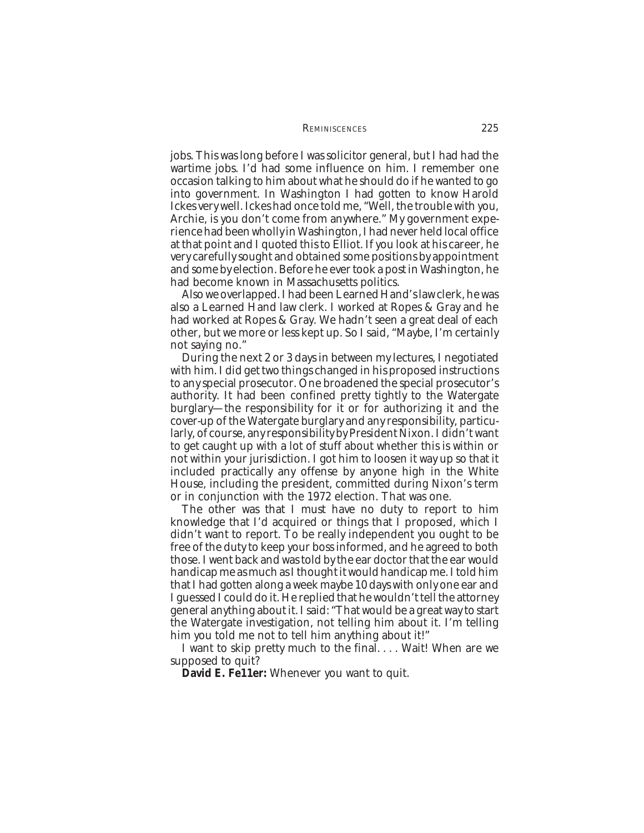### REMINISCENCES 225

jobs. This was long before I was solicitor general, but I had had the wartime jobs. I'd had some influence on him. I remember one occasion talking to him about what he should do if he wanted to go into government. In Washington I had gotten to know Harold Ickes very well. Ickes had once told me, "Well, the trouble with you, Archie, is you don't come from anywhere." My government experience had been wholly in Washington, I had never held local office at that point and I quoted this to Elliot. If you look at his career, he very carefully sought and obtained some positions by appointment and some by election. Before he ever took a post in Washington, he had become known in Massachusetts politics.

Also we overlapped. I had been Learned Hand's law clerk, he was also a Learned Hand law clerk. I worked at Ropes & Gray and he had worked at Ropes & Gray. We hadn't seen a great deal of each other, but we more or less kept up. So I said, "Maybe, I'm certainly not saying no."

During the next 2 or 3 days in between my lectures, I negotiated with him. I did get two things changed in his proposed instructions to any special prosecutor. One broadened the special prosecutor's authority. It had been confined pretty tightly to the Watergate burglary—the responsibility for it or for authorizing it and the cover-up of the Watergate burglary and any responsibility, particularly, of course, any responsibility by President Nixon. I didn't want to get caught up with a lot of stuff about whether this is within or not within your jurisdiction. I got him to loosen it way up so that it included practically any offense by anyone high in the White House, including the president, committed during Nixon's term or in conjunction with the 1972 election. That was one.

The other was that I must have no duty to report to him knowledge that I'd acquired or things that I proposed, which I didn't want to report. To be really independent you ought to be free of the duty to keep your boss informed, and he agreed to both those. I went back and was told by the ear doctor that the ear would handicap me as much as I thought it would handicap me. I told him that I had gotten along a week maybe 10 days with only one ear and I guessed I could do it. He replied that he wouldn't tell the attorney general anything about it. I said: "That would be a great way to start the Watergate investigation, not telling him about it. I'm telling him you told me not to tell him anything about it!"

I want to skip pretty much to the final. . . . Wait! When are we supposed to quit?

**David E. Fe11er:** Whenever you want to quit.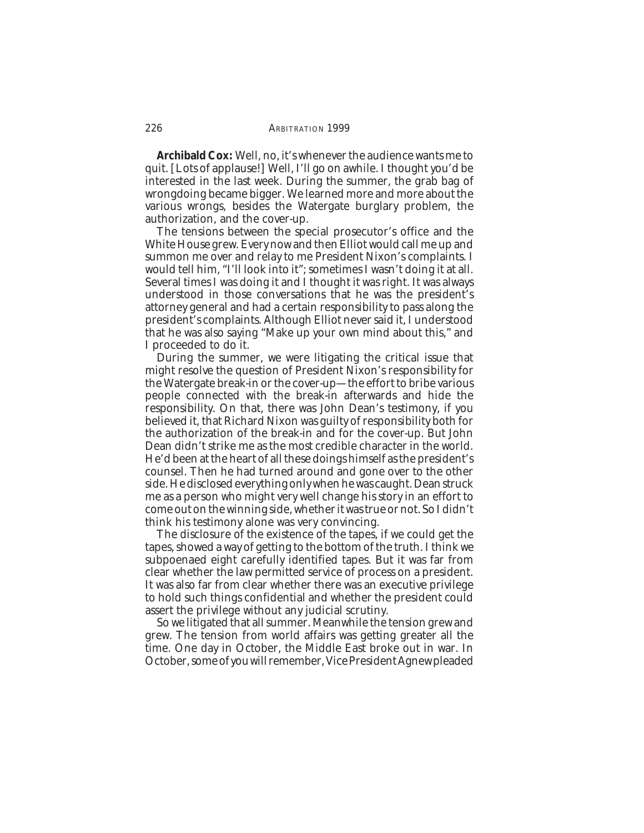**Archibald Cox:** Well, no, it's whenever the audience wants me to quit. [Lots of applause!] Well, I'll go on awhile. I thought you'd be interested in the last week. During the summer, the grab bag of wrongdoing became bigger. We learned more and more about the various wrongs, besides the Watergate burglary problem, the authorization, and the cover-up.

The tensions between the special prosecutor's office and the White House grew. Every now and then Elliot would call me up and summon me over and relay to me President Nixon's complaints. I would tell him, "I'll look into it"; sometimes I wasn't doing it at all. Several times I was doing it and I thought it was right. It was always understood in those conversations that he was the president's attorney general and had a certain responsibility to pass along the president's complaints. Although Elliot never said it, I understood that he was also saying "Make up your own mind about this," and I proceeded to do it.

During the summer, we were litigating the critical issue that might resolve the question of President Nixon's responsibility for the Watergate break-in or the cover-up—the effort to bribe various people connected with the break-in afterwards and hide the responsibility. On that, there was John Dean's testimony, if you believed it, that Richard Nixon was guilty of responsibility both for the authorization of the break-in and for the cover-up. But John Dean didn't strike me as the most credible character in the world. He'd been at the heart of all these doings himself as the president's counsel. Then he had turned around and gone over to the other side. He disclosed everything only when he was caught. Dean struck me as a person who might very well change his story in an effort to come out on the winning side, whether it was true or not. So I didn't think his testimony alone was very convincing.

The disclosure of the existence of the tapes, if we could get the tapes, showed a way of getting to the bottom of the truth. I think we subpoenaed eight carefully identified tapes. But it was far from clear whether the law permitted service of process on a president. It was also far from clear whether there was an executive privilege to hold such things confidential and whether the president could assert the privilege without any judicial scrutiny.

So we litigated that all summer. Meanwhile the tension grew and grew. The tension from world affairs was getting greater all the time. One day in October, the Middle East broke out in war. In October, some of you will remember, Vice President Agnew pleaded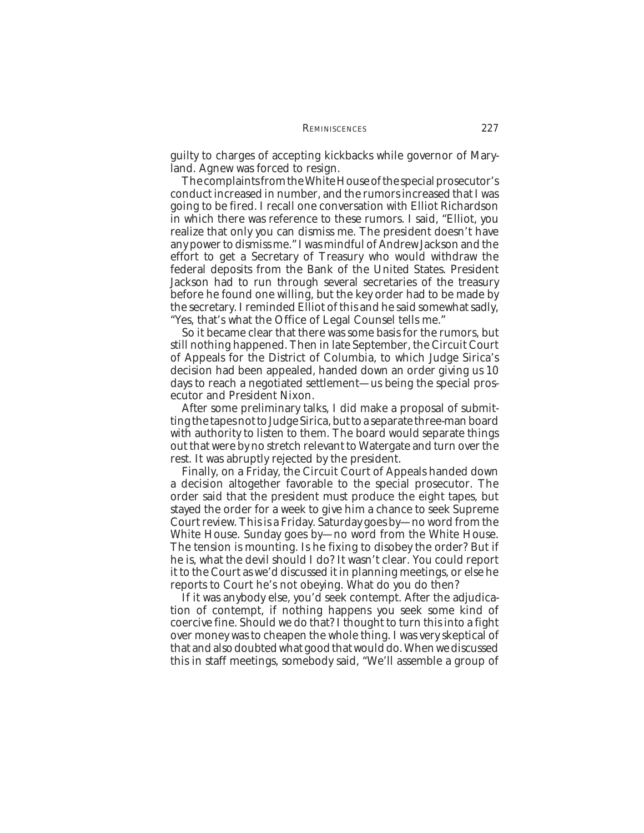guilty to charges of accepting kickbacks while governor of Maryland. Agnew was forced to resign.

The complaints from the White House of the special prosecutor's conduct increased in number, and the rumors increased that I was going to be fired. I recall one conversation with Elliot Richardson in which there was reference to these rumors. I said, "Elliot, you realize that only you can dismiss me. The president doesn't have any power to dismiss me." I was mindful of Andrew Jackson and the effort to get a Secretary of Treasury who would withdraw the federal deposits from the Bank of the United States. President Jackson had to run through several secretaries of the treasury before he found one willing, but the key order had to be made by the secretary. I reminded Elliot of this and he said somewhat sadly, "Yes, that's what the Office of Legal Counsel tells me."

So it became clear that there was some basis for the rumors, but still nothing happened. Then in late September, the Circuit Court of Appeals for the District of Columbia, to which Judge Sirica's decision had been appealed, handed down an order giving us 10 days to reach a negotiated settlement—us being the special prosecutor and President Nixon.

After some preliminary talks, I did make a proposal of submitting the tapes not to Judge Sirica, but to a separate three-man board with authority to listen to them. The board would separate things out that were by no stretch relevant to Watergate and turn over the rest. It was abruptly rejected by the president.

Finally, on a Friday, the Circuit Court of Appeals handed down a decision altogether favorable to the special prosecutor. The order said that the president must produce the eight tapes, but stayed the order for a week to give him a chance to seek Supreme Court review. This is a Friday. Saturday goes by—no word from the White House. Sunday goes by—no word from the White House. The tension is mounting. Is he fixing to disobey the order? But if he is, what the devil should I do? It wasn't clear. You could report it to the Court as we'd discussed it in planning meetings, or else he reports to Court he's not obeying. What do you do then?

If it was anybody else, you'd seek contempt. After the adjudication of contempt, if nothing happens you seek some kind of coercive fine. Should we do that? I thought to turn this into a fight over money was to cheapen the whole thing. I was very skeptical of that and also doubted what good that would do. When we discussed this in staff meetings, somebody said, "We'll assemble a group of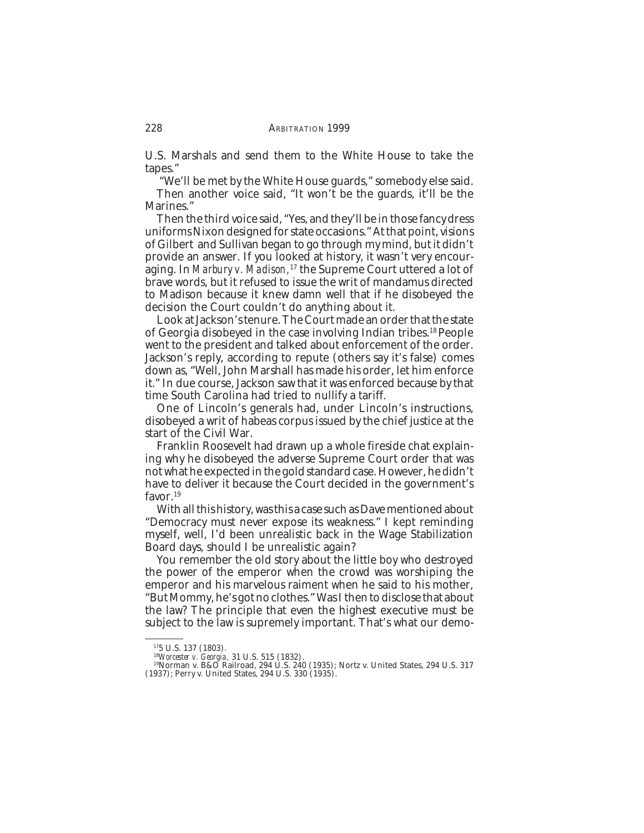U.S. Marshals and send them to the White House to take the tapes."

 "We'll be met by the White House guards," somebody else said. Then another voice said, "It won't be the guards, it'll be the Marines."

Then the third voice said, "Yes, and they'll be in those fancy dress uniforms Nixon designed for state occasions." At that point, visions of Gilbert and Sullivan began to go through my mind, but it didn't provide an answer. If you looked at history, it wasn't very encouraging. In *Marbury v. Madison,*17 the Supreme Court uttered a lot of brave words, but it refused to issue the writ of mandamus directed to Madison because it knew damn well that if he disobeyed the decision the Court couldn't do anything about it.

Look at Jackson's tenure. The Court made an order that the state of Georgia disobeyed in the case involving Indian tribes.18 People went to the president and talked about enforcement of the order. Jackson's reply, according to repute (others say it's false) comes down as, "Well, John Marshall has made his order, let him enforce it." In due course, Jackson saw that it was enforced because by that time South Carolina had tried to nullify a tariff.

One of Lincoln's generals had, under Lincoln's instructions, disobeyed a writ of habeas corpus issued by the chief justice at the start of the Civil War.

Franklin Roosevelt had drawn up a whole fireside chat explaining why he disobeyed the adverse Supreme Court order that was not what he expected in the gold standard case. However, he didn't have to deliver it because the Court decided in the government's favor.<sup>19</sup>

With all this history, was this a case such as Dave mentioned about "Democracy must never expose its weakness." I kept reminding myself, well, I'd been unrealistic back in the Wage Stabilization Board days, should I be unrealistic again?

You remember the old story about the little boy who destroyed the power of the emperor when the crowd was worshiping the emperor and his marvelous raiment when he said to his mother, "But Mommy, he's got no clothes." Was I then to disclose that about the law? The principle that even the highest executive must be subject to the law is supremely important. That's what our demo-

<sup>175</sup> U.S. 137 (1803).

<sup>18</sup>*Worcester v. Georgia*, 31 U.S. 515 (1832).<br><sup>18</sup>Worcester v. *Georgia*, 31 U.S. 515 (1832).<br><sup>19</sup>Norman v. B&O Railroad, 294 U.S. 240 (1935); Nortz v. United States, 294 U.S. 317 (1937); Perry v. United States, 294 U.S. 330 (1935).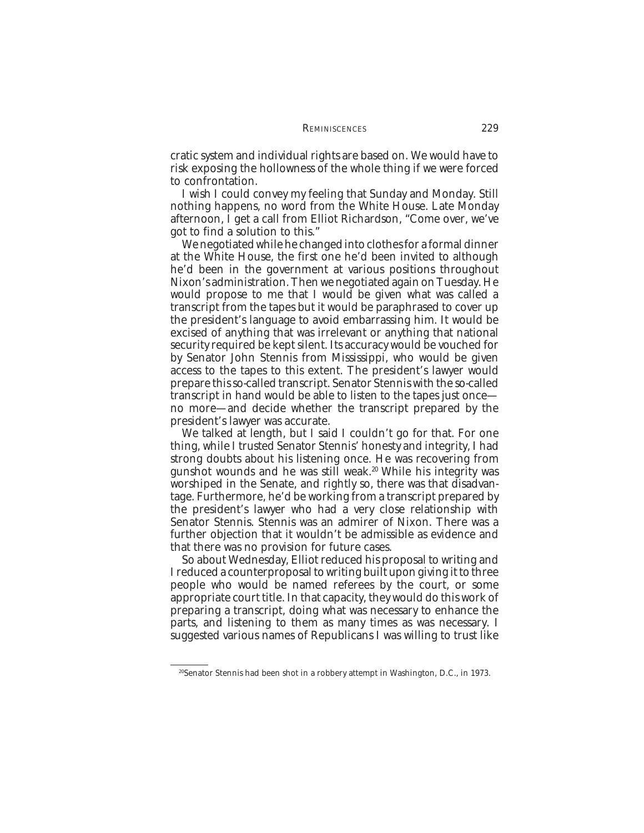cratic system and individual rights are based on. We would have to risk exposing the hollowness of the whole thing if we were forced to confrontation.

I wish I could convey my feeling that Sunday and Monday. Still nothing happens, no word from the White House. Late Monday afternoon, I get a call from Elliot Richardson, "Come over, we've got to find a solution to this."

We negotiated while he changed into clothes for a formal dinner at the White House, the first one he'd been invited to although he'd been in the government at various positions throughout Nixon's administration. Then we negotiated again on Tuesday. He would propose to me that I would be given what was called a transcript from the tapes but it would be paraphrased to cover up the president's language to avoid embarrassing him. It would be excised of anything that was irrelevant or anything that national security required be kept silent. Its accuracy would be vouched for by Senator John Stennis from Mississippi, who would be given access to the tapes to this extent. The president's lawyer would prepare this so-called transcript. Senator Stennis with the so-called transcript in hand would be able to listen to the tapes just once no more—and decide whether the transcript prepared by the president's lawyer was accurate.

We talked at length, but I said I couldn't go for that. For one thing, while I trusted Senator Stennis' honesty and integrity, I had strong doubts about his listening once. He was recovering from gunshot wounds and he was still weak.<sup>20</sup> While his integrity was worshiped in the Senate, and rightly so, there was that disadvantage. Furthermore, he'd be working from a transcript prepared by the president's lawyer who had a very close relationship with Senator Stennis. Stennis was an admirer of Nixon. There was a further objection that it wouldn't be admissible as evidence and that there was no provision for future cases.

So about Wednesday, Elliot reduced his proposal to writing and I reduced a counterproposal to writing built upon giving it to three people who would be named referees by the court, or some appropriate court title. In that capacity, they would do this work of preparing a transcript, doing what was necessary to enhance the parts, and listening to them as many times as was necessary. I suggested various names of Republicans I was willing to trust like

<sup>20</sup>Senator Stennis had been shot in a robbery attempt in Washington, D.C., in 1973.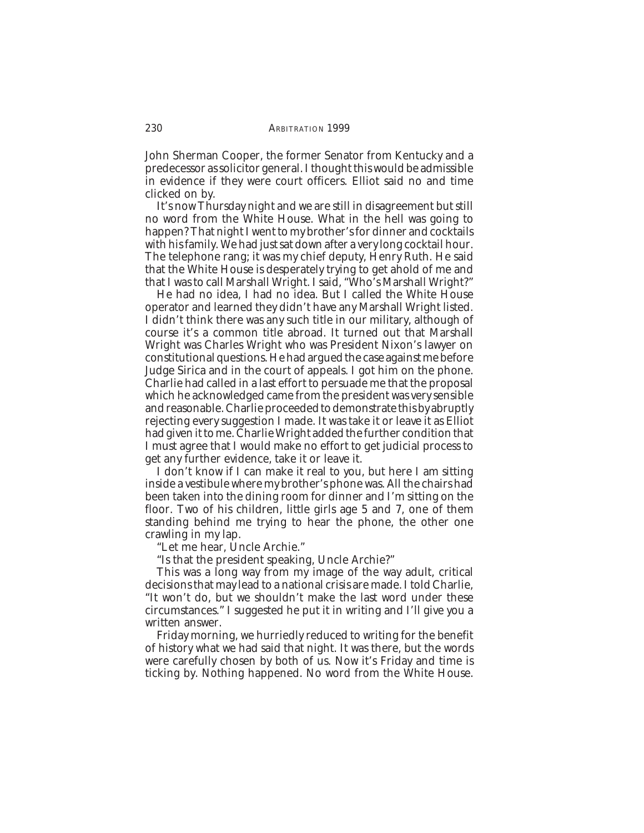John Sherman Cooper, the former Senator from Kentucky and a predecessor as solicitor general. I thought this would be admissible in evidence if they were court officers. Elliot said no and time clicked on by.

It's now Thursday night and we are still in disagreement but still no word from the White House. What in the hell was going to happen? That night I went to my brother's for dinner and cocktails with his family. We had just sat down after a very long cocktail hour. The telephone rang; it was my chief deputy, Henry Ruth. He said that the White House is desperately trying to get ahold of me and that I was to call Marshall Wright. I said, "Who's Marshall Wright?"

He had no idea, I had no idea. But I called the White House operator and learned they didn't have any Marshall Wright listed. I didn't think there was any such title in our military, although of course it's a common title abroad. It turned out that Marshall Wright was Charles Wright who was President Nixon's lawyer on constitutional questions. He had argued the case against me before Judge Sirica and in the court of appeals. I got him on the phone. Charlie had called in a last effort to persuade me that the proposal which he acknowledged came from the president was very sensible and reasonable. Charlie proceeded to demonstrate this by abruptly rejecting every suggestion I made. It was take it or leave it as Elliot had given it to me. Charlie Wright added the further condition that I must agree that I would make no effort to get judicial process to get any further evidence, take it or leave it.

I don't know if I can make it real to you, but here I am sitting inside a vestibule where my brother's phone was. All the chairs had been taken into the dining room for dinner and I'm sitting on the floor. Two of his children, little girls age 5 and 7, one of them standing behind me trying to hear the phone, the other one crawling in my lap.

"Let me hear, Uncle Archie."

"Is that the president speaking, Uncle Archie?"

This was a long way from my image of the way adult, critical decisions that may lead to a national crisis are made. I told Charlie, "It won't do, but we shouldn't make the last word under these circumstances." I suggested he put it in writing and I'll give you a written answer.

Friday morning, we hurriedly reduced to writing for the benefit of history what we had said that night. It was there, but the words were carefully chosen by both of us. Now it's Friday and time is ticking by. Nothing happened. No word from the White House.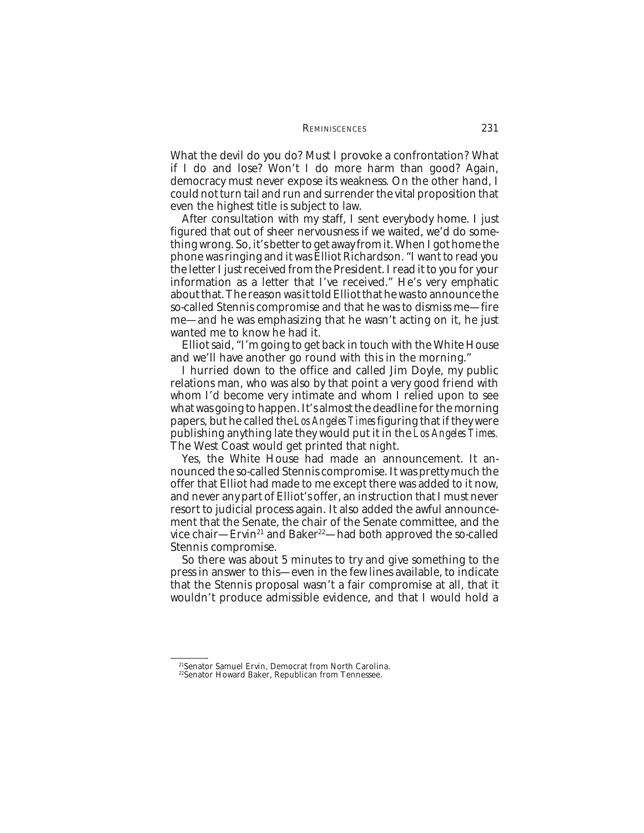What the devil do you do? Must I provoke a confrontation? What if I do and lose? Won't I do more harm than good? Again, democracy must never expose its weakness. On the other hand, I could not turn tail and run and surrender the vital proposition that even the highest title is subject to law.

After consultation with my staff, I sent everybody home. I just figured that out of sheer nervousness if we waited, we'd do something wrong. So, it's better to get away from it. When I got home the phone was ringing and it was Elliot Richardson. "I want to read you the letter I just received from the President. I read it to you for your information as a letter that I've received." He's very emphatic about that. The reason was it told Elliot that he was to announce the so-called Stennis compromise and that he was to dismiss me—fire me—and he was emphasizing that he wasn't acting on it, he just wanted me to know he had it.

Elliot said, "I'm going to get back in touch with the White House and we'll have another go round with this in the morning."

I hurried down to the office and called Jim Doyle, my public relations man, who was also by that point a very good friend with whom I'd become very intimate and whom I relied upon to see what was going to happen. It's almost the deadline for the morning papers, but he called the *Los Angeles Times* figuring that if they were publishing anything late they would put it in the *Los Angeles Times.* The West Coast would get printed that night.

Yes, the White House had made an announcement. It announced the so-called Stennis compromise. It was pretty much the offer that Elliot had made to me except there was added to it now, and never any part of Elliot's offer, an instruction that I must never resort to judicial process again. It also added the awful announcement that the Senate, the chair of the Senate committee, and the vice chair—Ervin<sup>21</sup> and Baker<sup>22</sup>—had both approved the so-called Stennis compromise.

So there was about 5 minutes to try and give something to the press in answer to this—even in the few lines available, to indicate that the Stennis proposal wasn't a fair compromise at all, that it wouldn't produce admissible evidence, and that I would hold a

<sup>21</sup>Senator Samuel Ervin, Democrat from North Carolina.

<sup>&</sup>lt;sup>22</sup>Senator Howard Baker, Republican from Tennessee.